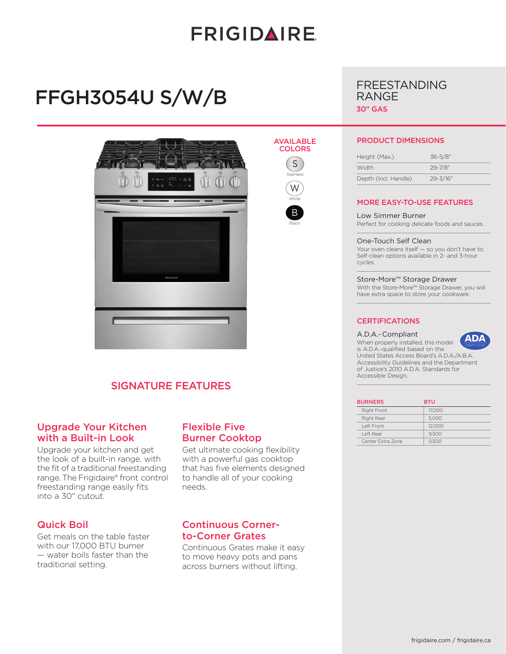# **FRIGIDAIRE**

# FFGH3054U S/W/B



# SIGNATURE FEATURES

## Upgrade Your Kitchen with a Built-in Look

Upgrade your kitchen and get the look of a built-in range, with the fit of a traditional freestanding range. The Frigidaire® front control freestanding range easily fits into a 30" cutout.

### Quick Boil

Get meals on the table faster with our 17,000 BTU burner — water boils faster than the traditional setting.

## Flexible Five Burner Cooktop

Get ultimate cooking flexibility with a powerful gas cooktop that has five elements designed to handle all of your cooking needs.

## Continuous Cornerto-Corner Grates

Continuous Grates make it easy to move heavy pots and pans across burners without lifting.

## AVAILABLE



B Black



RANGE

#### PRODUCT DIMENSIONS

FREESTANDING

| Height (Max.)        | $36 - 5/8$ " |
|----------------------|--------------|
| Width                | 29-7/8"      |
| Depth (Incl. Handle) | $29 - 3/16"$ |

#### MORE EASY-TO-USE FEATURES

Low Simmer Burner Perfect for cooking delicate foods and sauces.

#### One-Touch Self Clean

Your oven cleans itself — so you don't have to. Self-clean options available in 2- and 3-hour cycles.

#### Store-More™ Storage Drawer

With the Store-More™ Storage Drawer, you will have extra space to store your cookware.

#### **CERTIFICATIONS**

#### A.D.A.- Compliant

Accessible Design.

When properly installed, this model is A.D.A.-qualified based on the United States Access Board's A.D.A./A.B.A. Accessibility Guidelines and the Department of Justice's 2010 A.D.A. Standards for

| <b>BURNERS</b>     | <b>BTU</b> |
|--------------------|------------|
| <b>Right Front</b> | 17,000     |
| Right Rear         | 5.000      |
| I eft Front        | 12,000     |
| Left Rear          | 9.500      |
| Center Extra Zone  | 9.500      |

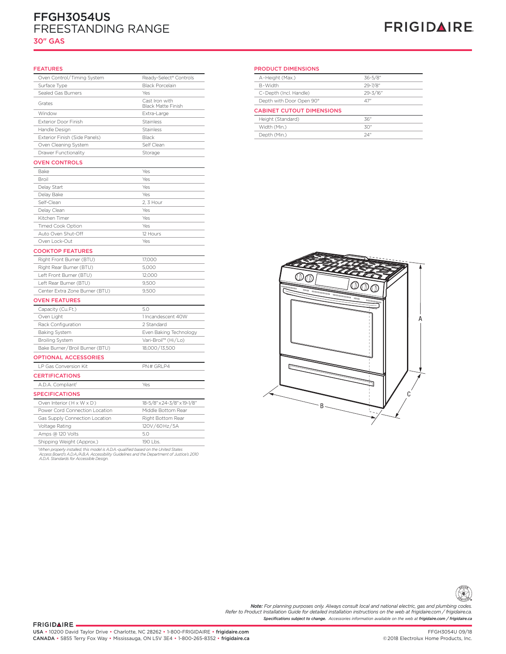# FFGH3054US FREESTANDING RANGE

### 30" GAS

# **FRIGIDAIRE**

#### FEATURES

| Oven Control/Timing System     | Ready-Select® Controls                      |
|--------------------------------|---------------------------------------------|
| Surface Type                   | <b>Black Porcelain</b>                      |
| Sealed Gas Burners             | Yes                                         |
| Grates                         | Cast Iron with<br><b>Black Matte Finish</b> |
| Window                         | Extra-Large                                 |
| <b>Exterior Door Finish</b>    | Stainless                                   |
| Handle Design                  | Stainless                                   |
| Exterior Finish (Side Panels)  | Black                                       |
| Oven Cleaning System           | Self Clean                                  |
| <b>Drawer Functionality</b>    | Storage                                     |
| <b>OVEN CONTROLS</b>           |                                             |
| Bake                           | Yes                                         |
| Broil                          | Yes                                         |
| Delay Start                    | Yes                                         |
| Delay Bake                     | Yes                                         |
| Self-Clean                     | 2, 3 Hour                                   |
| Delay Clean                    | Yes                                         |
| Kitchen Timer                  | Yes                                         |
| <b>Timed Cook Option</b>       | Yes                                         |
| Auto Oven Shut-Off             | 12 Hours                                    |
| Oven Lock-Out                  | Yes                                         |
| <b>COOKTOP FEATURES</b>        |                                             |
| Right Front Burner (BTU)       | 17,000                                      |
| Right Rear Burner (BTU)        | 5,000                                       |
| Left Front Burner (BTU)        | 12,000                                      |
| Left Rear Burner (BTU)         | 9,500                                       |
| Center Extra Zone Burner (BTU) | 9,500                                       |
| <b>OVEN FEATURES</b>           |                                             |
| Capacity (Cu.Ft.)              | 5.0                                         |
| Oven Light                     | 1 Incandescent 40W                          |
| Rack Configuration             | 2 Standard                                  |
| <b>Baking System</b>           | Even Baking Technology                      |
| <b>Broiling System</b>         | Vari-Broil™ (Hi/Lo)                         |
| Bake Burner/Broil Burner (BTU) | 18,000/13,500                               |
| <b>OPTIONAL ACCESSORIES</b>    |                                             |
| LP Gas Conversion Kit          | PN# GRLP4                                   |
| <b>CERTIFICATIONS</b>          |                                             |
| A.D.A. Compliant <sup>1</sup>  | Yes                                         |
| <b>SPECIFICATIONS</b>          |                                             |
| Oven Interior (H x W x D)      | 18-5/8" x 24-3/8" x 19-1/8"                 |
| Power Cord Connection Location | Middle Bottom Rear                          |
| Gas Supply Connection Location | Right Bottom Rear                           |
| Voltage Rating                 | 120V/60Hz/5A                                |
| Amps @ 120 Volts               | 5.0                                         |
| Shipping Weight (Approx.)      | 190 Lbs.                                    |

'When properly installed, this model is A.D.A.-qualified based on the United States<br>Access Board's A.D.A./A.B.A. Accessibility Guidelines and the Department of Justice's 2010<br>A.D.A. Standards for Accessible Design.

#### PRODUCT DIMENSIONS

| эm | Ready-Select® Controls                      | 36-5/8"<br>A-Height (Max.)         |
|----|---------------------------------------------|------------------------------------|
|    | <b>Black Porcelain</b>                      | 29-7/8"<br>B-Width                 |
|    | Yes                                         | 29-3/16"<br>C-Depth (Incl. Handle) |
|    | Cast Iron with<br><b>Black Matte Finish</b> | Depth with Door Open 90°<br>47"    |
|    | Extra-Large                                 | <b>CABINET CUTOUT DIMENSIONS</b>   |
|    | <b>Stainless</b>                            | Height (Standard)<br>36"           |
|    | <b>Stainless</b>                            | Width (Min.)<br>30"                |
|    | <b>Black</b>                                | Depth (Min.)<br>24'                |





*Specifications subject to change. Accessories information available on the web at frigidaire.com / frigidaire.ca Note: For planning purposes only. Always consult local and national electric, gas and plumbing codes. Refer to Product Installation Guide for detailed installation instructions on the web at frigidaire.com / frigidaire.ca.*